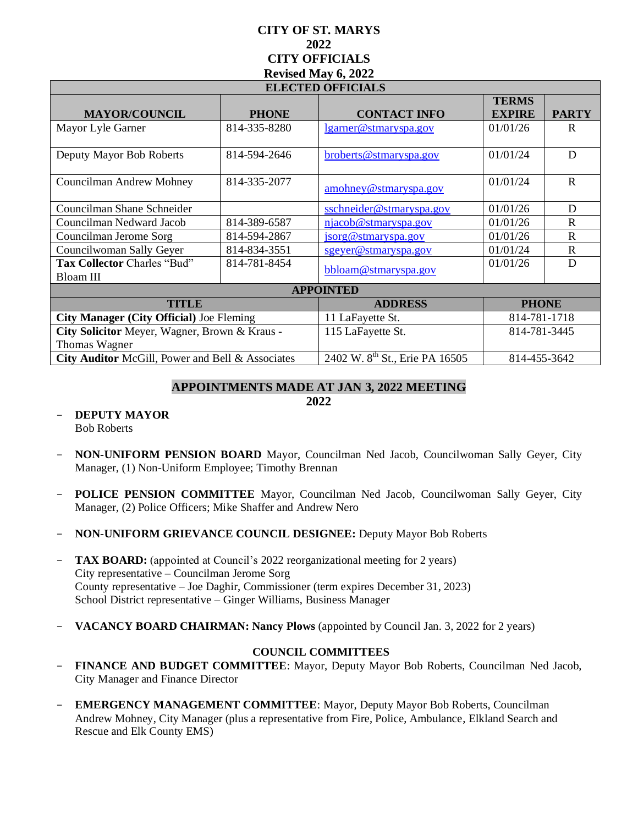# **CITY OF ST. MARYS 2022 CITY OFFICIALS Revised May 6, 2022**

| <b>ELECTED OFFICIALS</b>                         |              |                                            |               |              |
|--------------------------------------------------|--------------|--------------------------------------------|---------------|--------------|
|                                                  |              |                                            | <b>TERMS</b>  |              |
| <b>MAYOR/COUNCIL</b>                             | <b>PHONE</b> | <b>CONTACT INFO</b>                        | <b>EXPIRE</b> | <b>PARTY</b> |
| Mayor Lyle Garner                                | 814-335-8280 | lgarner@stmaryspa.gov                      | 01/01/26      | R            |
| Deputy Mayor Bob Roberts                         | 814-594-2646 | broberts@stmaryspa.gov                     | 01/01/24      | D            |
| <b>Councilman Andrew Mohney</b>                  | 814-335-2077 | amohney@stmaryspa.gov                      | 01/01/24      | $\mathbf{R}$ |
| Councilman Shane Schneider                       |              | sschneider@stmaryspa.gov                   | 01/01/26      | D            |
| Councilman Nedward Jacob                         | 814-389-6587 | njacob@stmaryspa.gov                       | 01/01/26      | $\mathbf R$  |
| Councilman Jerome Sorg                           | 814-594-2867 | jsorg@stmaryspa.gov                        | 01/01/26      | $\mathbf R$  |
| Councilwoman Sally Geyer                         | 814-834-3551 | sgeyer@stmaryspa.gov                       | 01/01/24      | $\mathbf{R}$ |
| Tax Collector Charles "Bud"                      | 814-781-8454 | bbloam@stmaryspa.gov                       | 01/01/26      | D            |
| Bloam III                                        |              |                                            |               |              |
| <b>APPOINTED</b>                                 |              |                                            |               |              |
| <b>TITLE</b>                                     |              | <b>ADDRESS</b>                             | <b>PHONE</b>  |              |
| <b>City Manager (City Official) Joe Fleming</b>  |              | 11 LaFayette St.                           | 814-781-1718  |              |
| City Solicitor Meyer, Wagner, Brown & Kraus -    |              | 115 LaFayette St.                          | 814-781-3445  |              |
| Thomas Wagner                                    |              |                                            |               |              |
| City Auditor McGill, Power and Bell & Associates |              | 2402 W. 8 <sup>th</sup> St., Erie PA 16505 | 814-455-3642  |              |

## **APPOINTMENTS MADE AT JAN 3, 2022 MEETING**

**2022**

- **DEPUTY MAYOR**  Bob Roberts
- **NON-UNIFORM PENSION BOARD** Mayor, Councilman Ned Jacob, Councilwoman Sally Geyer, City Manager, (1) Non-Uniform Employee; Timothy Brennan
- **POLICE PENSION COMMITTEE** Mayor, Councilman Ned Jacob, Councilwoman Sally Geyer, City Manager, (2) Police Officers; Mike Shaffer and Andrew Nero
- **NON-UNIFORM GRIEVANCE COUNCIL DESIGNEE:** Deputy Mayor Bob Roberts
- **TAX BOARD:** (appointed at Council's 2022 reorganizational meeting for 2 years) City representative – Councilman Jerome Sorg County representative – Joe Daghir, Commissioner (term expires December 31, 2023) School District representative – Ginger Williams, Business Manager
- **VACANCY BOARD CHAIRMAN: Nancy Plows** (appointed by Council Jan. 3, 2022 for 2 years)

### **COUNCIL COMMITTEES**

- **FINANCE AND BUDGET COMMITTEE**: Mayor, Deputy Mayor Bob Roberts, Councilman Ned Jacob, City Manager and Finance Director
- **EMERGENCY MANAGEMENT COMMITTEE**: Mayor, Deputy Mayor Bob Roberts, Councilman Andrew Mohney, City Manager (plus a representative from Fire, Police, Ambulance, Elkland Search and Rescue and Elk County EMS)